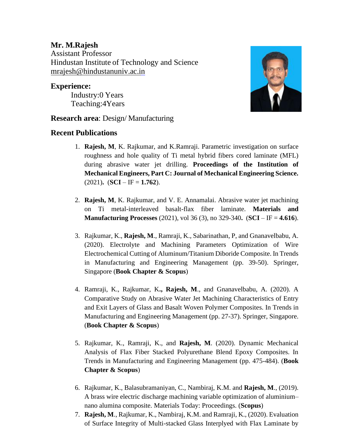## **Mr. M.Rajesh**

Assistant Professor Hindustan Institute of Technology and Science [mrajesh@hindustanuniv.ac.in](mailto:mrajesh@hindustanuniv.ac.i)

## **Experience:**

Industry:0 Years Teaching:4Years



## **Research area**: Design/ Manufacturing

## **Recent Publications**

- 1. **Rajesh, M**, K. Rajkumar, and K.Ramraji. Parametric investigation on surface roughness and hole quality of Ti metal hybrid fibers cored laminate (MFL) during abrasive water jet drilling. **Proceedings of the Institution of Mechanical Engineers, Part C: Journal of Mechanical Engineering Science.**   $(2021)$ **.**  $(**SCI** – **IF** = **1.762**).$
- 2. **Rajesh, M**, K. Rajkumar, and V. E. Annamalai. Abrasive water jet machining on Ti metal-interleaved basalt-flax fiber laminate. **Materials and Manufacturing Processes** (2021), vol 36 (3), no 329-340**.** (**SCI** – IF = **4.616**).
- 3. Rajkumar, K., **Rajesh, M**., Ramraji, K., Sabarinathan, P, and Gnanavelbabu, A. (2020). Electrolyte and Machining Parameters Optimization of Wire Electrochemical Cutting of Aluminum/Titanium Diboride Composite. In Trends in Manufacturing and Engineering Management (pp. 39-50). Springer, Singapore (**Book Chapter & Scopus**)
- 4. Ramraji, K., Rajkumar, K**., Rajesh, M**., and Gnanavelbabu, A. (2020). A Comparative Study on Abrasive Water Jet Machining Characteristics of Entry and Exit Layers of Glass and Basalt Woven Polymer Composites. In Trends in Manufacturing and Engineering Management (pp. 27-37). Springer, Singapore. (**Book Chapter & Scopus**)
- 5. Rajkumar, K., Ramraji, K., and **Rajesh, M**. (2020). Dynamic Mechanical Analysis of Flax Fiber Stacked Polyurethane Blend Epoxy Composites. In Trends in Manufacturing and Engineering Management (pp. 475-484). (**Book Chapter & Scopus**)
- 6. Rajkumar, K., Balasubramaniyan, C., Nambiraj, K.M. and **Rajesh, M**., (2019). A brass wire electric discharge machining variable optimization of aluminium– nano alumina composite. Materials Today: Proceedings. (**Scopus**)
- 7. **Rajesh, M**., Rajkumar, K., Nambiraj, K.M. and Ramraji, K., (2020). Evaluation of Surface Integrity of Multi-stacked Glass Interplyed with Flax Laminate by